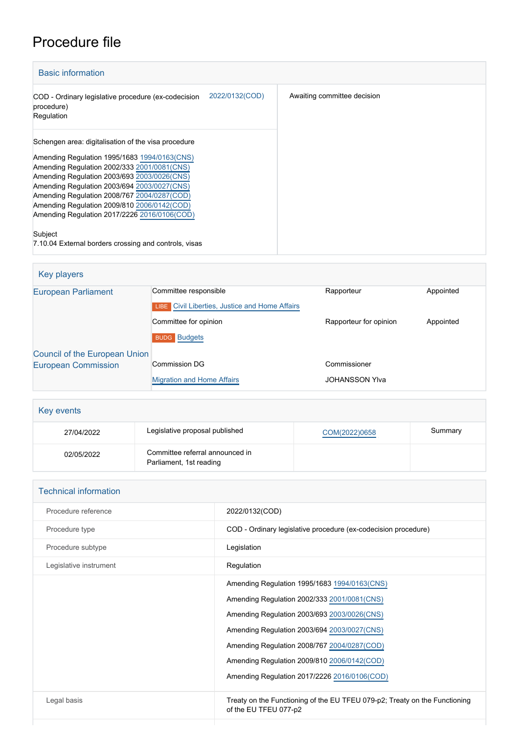## Procedure file

| <b>Basic information</b>                                                                                                                                                                                                                                                                                                                                                                                                                                           |                |                             |
|--------------------------------------------------------------------------------------------------------------------------------------------------------------------------------------------------------------------------------------------------------------------------------------------------------------------------------------------------------------------------------------------------------------------------------------------------------------------|----------------|-----------------------------|
| COD - Ordinary legislative procedure (ex-codecision<br>procedure)<br>Regulation                                                                                                                                                                                                                                                                                                                                                                                    | 2022/0132(COD) | Awaiting committee decision |
| Schengen area: digitalisation of the visa procedure<br>Amending Regulation 1995/1683 1994/0163(CNS)<br>Amending Regulation 2002/333 2001/0081(CNS)<br>Amending Regulation 2003/693 2003/0026(CNS)<br>Amending Regulation 2003/694 2003/0027(CNS)<br>Amending Regulation 2008/767 2004/0287(COD)<br>Amending Regulation 2009/810 2006/0142(COD)<br>Amending Regulation 2017/2226 2016/0106(COD)<br>Subject<br>7.10.04 External borders crossing and controls, visas |                |                             |

| Key players                   |                                                       |                        |           |
|-------------------------------|-------------------------------------------------------|------------------------|-----------|
| <b>European Parliament</b>    | Committee responsible                                 | Rapporteur             | Appointed |
|                               | <b>LIBE</b> Civil Liberties, Justice and Home Affairs |                        |           |
|                               | Committee for opinion                                 | Rapporteur for opinion | Appointed |
|                               | <b>BUDG</b> Budgets                                   |                        |           |
| Council of the European Union |                                                       |                        |           |
| <b>European Commission</b>    | <b>Commission DG</b>                                  | Commissioner           |           |
|                               | <b>Migration and Home Affairs</b>                     | <b>JOHANSSON YIva</b>  |           |

| Key events |                                                            |               |         |
|------------|------------------------------------------------------------|---------------|---------|
| 27/04/2022 | Legislative proposal published                             | COM(2022)0658 | Summary |
| 02/05/2022 | Committee referral announced in<br>Parliament, 1st reading |               |         |

| <b>Technical information</b> |                                                                                                     |  |
|------------------------------|-----------------------------------------------------------------------------------------------------|--|
| Procedure reference          | 2022/0132(COD)                                                                                      |  |
| Procedure type               | COD - Ordinary legislative procedure (ex-codecision procedure)                                      |  |
| Procedure subtype            | Legislation                                                                                         |  |
| Legislative instrument       | Regulation                                                                                          |  |
|                              | Amending Regulation 1995/1683 1994/0163(CNS)                                                        |  |
|                              | Amending Regulation 2002/333 2001/0081(CNS)                                                         |  |
|                              | Amending Regulation 2003/693 2003/0026(CNS)                                                         |  |
|                              | Amending Regulation 2003/694 2003/0027(CNS)                                                         |  |
|                              | Amending Regulation 2008/767 2004/0287(COD)                                                         |  |
|                              | Amending Regulation 2009/810 2006/0142(COD)                                                         |  |
|                              | Amending Regulation 2017/2226 2016/0106(COD)                                                        |  |
| Legal basis                  | Treaty on the Functioning of the EU TFEU 079-p2; Treaty on the Functioning<br>of the EU TFEU 077-p2 |  |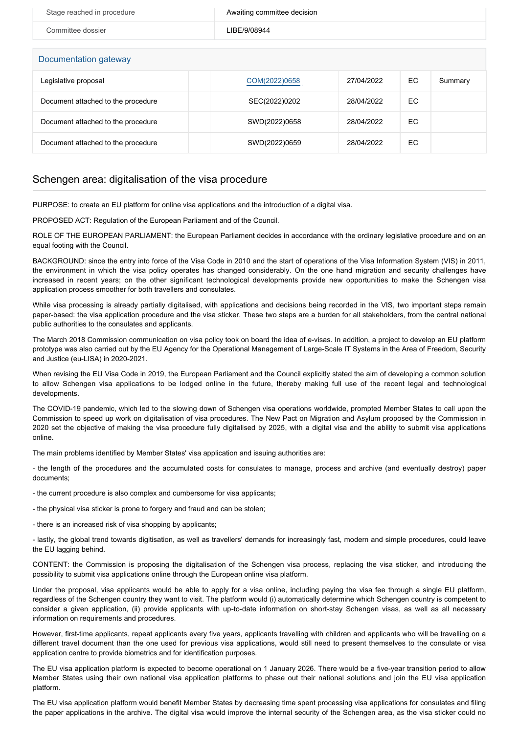| Stage reached in procedure | Awaiting committee decision |
|----------------------------|-----------------------------|
| Committee dossier          | LIBE/9/08944                |
| Documentation gateway      |                             |

| Legislative proposal               | COM(2022)0658 | 27/04/2022 | EC | Summary |
|------------------------------------|---------------|------------|----|---------|
| Document attached to the procedure | SEC(2022)0202 | 28/04/2022 | EC |         |
| Document attached to the procedure | SWD(2022)0658 | 28/04/2022 | EC |         |
| Document attached to the procedure | SWD(2022)0659 | 28/04/2022 | EC |         |

## Schengen area: digitalisation of the visa procedure

PURPOSE: to create an EU platform for online visa applications and the introduction of a digital visa.

PROPOSED ACT: Regulation of the European Parliament and of the Council.

ROLE OF THE EUROPEAN PARLIAMENT: the European Parliament decides in accordance with the ordinary legislative procedure and on an equal footing with the Council.

BACKGROUND: since the entry into force of the Visa Code in 2010 and the start of operations of the Visa Information System (VIS) in 2011, the environment in which the visa policy operates has changed considerably. On the one hand migration and security challenges have increased in recent years; on the other significant technological developments provide new opportunities to make the Schengen visa application process smoother for both travellers and consulates.

While visa processing is already partially digitalised, with applications and decisions being recorded in the VIS, two important steps remain paper-based: the visa application procedure and the visa sticker. These two steps are a burden for all stakeholders, from the central national public authorities to the consulates and applicants.

The March 2018 Commission communication on visa policy took on board the idea of e-visas. In addition, a project to develop an EU platform prototype was also carried out by the EU Agency for the Operational Management of Large-Scale IT Systems in the Area of Freedom, Security and Justice (eu-LISA) in 2020-2021.

When revising the EU Visa Code in 2019, the European Parliament and the Council explicitly stated the aim of developing a common solution to allow Schengen visa applications to be lodged online in the future, thereby making full use of the recent legal and technological developments.

The COVID-19 pandemic, which led to the slowing down of Schengen visa operations worldwide, prompted Member States to call upon the Commission to speed up work on digitalisation of visa procedures. The New Pact on Migration and Asylum proposed by the Commission in 2020 set the objective of making the visa procedure fully digitalised by 2025, with a digital visa and the ability to submit visa applications online.

The main problems identified by Member States' visa application and issuing authorities are:

- the length of the procedures and the accumulated costs for consulates to manage, process and archive (and eventually destroy) paper documents;

- the current procedure is also complex and cumbersome for visa applicants;

- the physical visa sticker is prone to forgery and fraud and can be stolen;

- there is an increased risk of visa shopping by applicants;

- lastly, the global trend towards digitisation, as well as travellers' demands for increasingly fast, modern and simple procedures, could leave the EU lagging behind.

CONTENT: the Commission is proposing the digitalisation of the Schengen visa process, replacing the visa sticker, and introducing the possibility to submit visa applications online through the European online visa platform.

Under the proposal, visa applicants would be able to apply for a visa online, including paying the visa fee through a single EU platform, regardless of the Schengen country they want to visit. The platform would (i) automatically determine which Schengen country is competent to consider a given application, (ii) provide applicants with up-to-date information on short-stay Schengen visas, as well as all necessary information on requirements and procedures.

However, first-time applicants, repeat applicants every five years, applicants travelling with children and applicants who will be travelling on a different travel document than the one used for previous visa applications, would still need to present themselves to the consulate or visa application centre to provide biometrics and for identification purposes.

The EU visa application platform is expected to become operational on 1 January 2026. There would be a five-year transition period to allow Member States using their own national visa application platforms to phase out their national solutions and join the EU visa application platform.

The EU visa application platform would benefit Member States by decreasing time spent processing visa applications for consulates and filing the paper applications in the archive. The digital visa would improve the internal security of the Schengen area, as the visa sticker could no